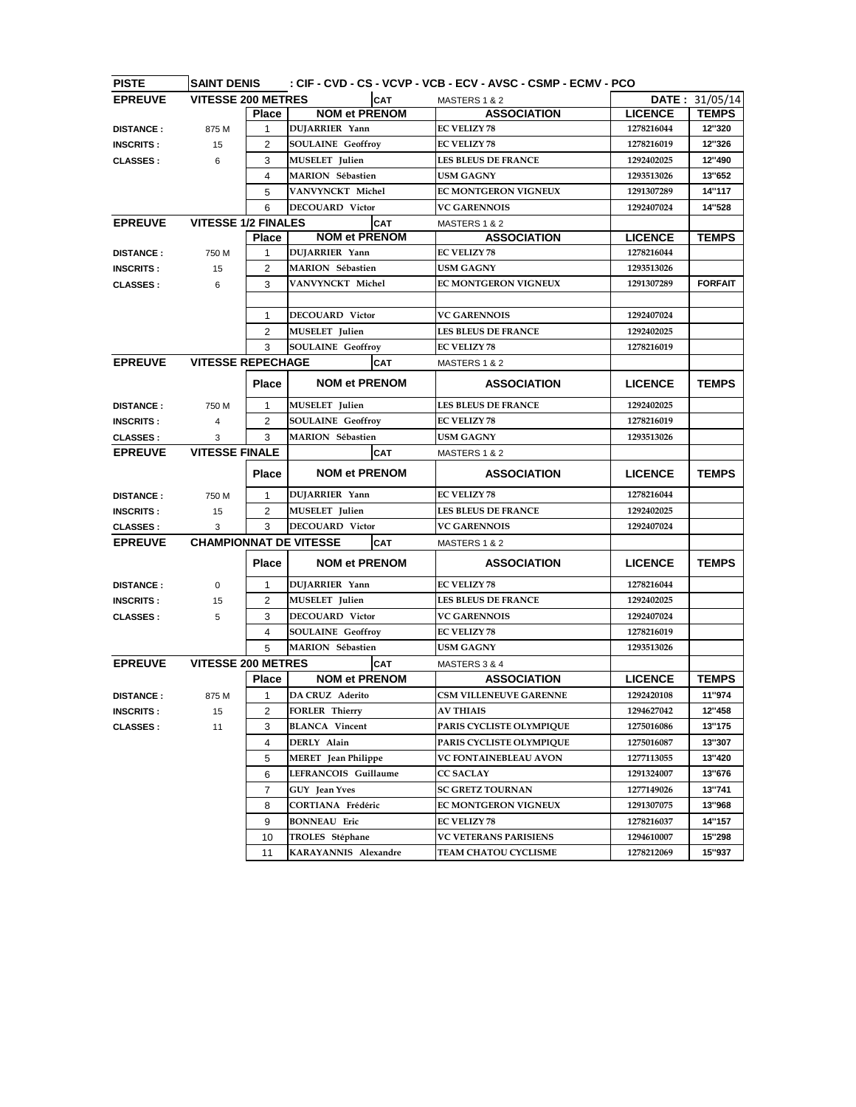| <b>PISTE</b>     | <b>SAINT DENIS</b>            |                |                            |                          |                               | : CIF - CVD - CS - VCVP - VCB - ECV - AVSC - CSMP - ECMV - PCO |                |                |
|------------------|-------------------------------|----------------|----------------------------|--------------------------|-------------------------------|----------------------------------------------------------------|----------------|----------------|
| <b>EPREUVE</b>   | <b>VITESSE 200 METRES</b>     |                |                            | CAT                      | MASTERS 1 & 2                 |                                                                |                | DATE: 31/05/14 |
|                  |                               | <b>Place</b>   | <b>NOM et PRENOM</b>       |                          |                               | <b>ASSOCIATION</b>                                             | <b>LICENCE</b> | <b>TEMPS</b>   |
| <b>DISTANCE:</b> | 875 M                         | $\mathbf{1}$   | DUJARRIER Yann             |                          |                               |                                                                | 1278216044     | 12"320         |
| <b>INSCRITS:</b> | 15                            | $\overline{2}$ |                            | <b>SOULAINE Geoffroy</b> |                               |                                                                | 1278216019     | 12"326         |
| <b>CLASSES:</b>  | 6                             | 3              | <b>MUSELET</b> Julien      |                          | <b>LES BLEUS DE FRANCE</b>    |                                                                | 1292402025     | 12"490         |
|                  |                               | 4              | <b>MARION</b> Sébastien    |                          | <b>USM GAGNY</b>              |                                                                | 1293513026     | 13"652         |
|                  |                               | 5              | VANVYNCKT Michel           |                          | <b>EC MONTGERON VIGNEUX</b>   |                                                                | 1291307289     | 14"117         |
|                  |                               | 6              | <b>DECOUARD</b> Victor     |                          | <b>VC GARENNOIS</b>           |                                                                | 1292407024     | 14"528         |
| <b>EPREUVE</b>   | <b>VITESSE 1/2 FINALES</b>    |                |                            | <b>CAT</b>               | MASTERS 1 & 2                 |                                                                |                |                |
|                  |                               | <b>Place</b>   | <b>NOM et PRENOM</b>       |                          |                               | <b>ASSOCIATION</b>                                             | <b>LICENCE</b> | <b>TEMPS</b>   |
| <b>DISTANCE:</b> | 750 M                         | $\mathbf{1}$   | DUJARRIER Yann             |                          | <b>EC VELIZY 78</b>           |                                                                | 1278216044     |                |
| <b>INSCRITS:</b> | 15                            | 2              | <b>MARION</b> Sébastien    |                          | <b>USM GAGNY</b>              |                                                                | 1293513026     |                |
| <b>CLASSES:</b>  | 6                             | 3              | VANVYNCKT Michel           |                          | <b>EC MONTGERON VIGNEUX</b>   |                                                                | 1291307289     | <b>FORFAIT</b> |
|                  |                               |                |                            |                          |                               |                                                                |                |                |
|                  |                               | 1              | <b>DECOUARD Victor</b>     |                          | <b>VC GARENNOIS</b>           |                                                                | 1292407024     |                |
|                  |                               | $\overline{2}$ | <b>MUSELET</b> Julien      |                          | <b>LES BLEUS DE FRANCE</b>    |                                                                | 1292402025     |                |
|                  |                               | 3              | <b>SOULAINE</b> Geoffroy   |                          | <b>EC VELIZY 78</b>           |                                                                | 1278216019     |                |
| <b>EPREUVE</b>   | <b>VITESSE REPECHAGE</b>      |                |                            | <b>CAT</b>               | MASTERS 1 & 2                 |                                                                |                |                |
|                  |                               | <b>Place</b>   | <b>NOM et PRENOM</b>       |                          |                               | <b>ASSOCIATION</b>                                             | <b>LICENCE</b> | <b>TEMPS</b>   |
| <b>DISTANCE:</b> | 750 M                         | $\mathbf{1}$   | MUSELET Julien             |                          | <b>LES BLEUS DE FRANCE</b>    |                                                                | 1292402025     |                |
| <b>INSCRITS:</b> | 4                             | $\overline{2}$ | <b>SOULAINE</b> Geoffroy   |                          | <b>EC VELIZY 78</b>           |                                                                | 1278216019     |                |
| <b>CLASSES:</b>  | 3                             | 3              | <b>MARION</b> Sébastien    |                          | <b>USM GAGNY</b>              |                                                                | 1293513026     |                |
| <b>EPREUVE</b>   | <b>VITESSE FINALE</b>         |                |                            | <b>CAT</b>               | MASTERS 1 & 2                 |                                                                |                |                |
|                  |                               | <b>Place</b>   | <b>NOM et PRENOM</b>       |                          |                               | <b>ASSOCIATION</b>                                             | <b>LICENCE</b> | <b>TEMPS</b>   |
| <b>DISTANCE:</b> | 750 M                         | $\mathbf{1}$   | DUJARRIER Yann             |                          | <b>EC VELIZY 78</b>           |                                                                | 1278216044     |                |
| <b>INSCRITS:</b> | 15                            | $\overline{2}$ | MUSELET Julien             |                          | <b>LES BLEUS DE FRANCE</b>    |                                                                | 1292402025     |                |
| <b>CLASSES:</b>  | 3                             | 3              | <b>DECOUARD</b> Victor     |                          | <b>VC GARENNOIS</b>           |                                                                | 1292407024     |                |
| <b>EPREUVE</b>   | <b>CHAMPIONNAT DE VITESSE</b> |                |                            | <b>CAT</b>               | MASTERS 1 & 2                 |                                                                |                |                |
|                  |                               | <b>Place</b>   | <b>NOM et PRENOM</b>       |                          |                               | <b>ASSOCIATION</b>                                             | <b>LICENCE</b> | <b>TEMPS</b>   |
| <b>DISTANCE:</b> | 0                             | 1              | DUJARRIER Yann             |                          | <b>EC VELIZY 78</b>           |                                                                | 1278216044     |                |
| <b>INSCRITS:</b> | 15                            | 2              | <b>MUSELET</b> Julien      |                          | <b>LES BLEUS DE FRANCE</b>    |                                                                | 1292402025     |                |
| <b>CLASSES:</b>  | 5                             | 3              | <b>DECOUARD</b> Victor     |                          | <b>VC GARENNOIS</b>           |                                                                | 1292407024     |                |
|                  |                               | 4              | <b>SOULAINE</b> Geoffroy   |                          | <b>EC VELIZY 78</b>           |                                                                | 1278216019     |                |
|                  |                               | 5              | <b>MARION</b> Sébastien    |                          | <b>USM GAGNY</b>              |                                                                | 1293513026     |                |
| <b>EPREUVE</b>   | <b>VITESSE 200 METRES</b>     |                |                            | <b>CAT</b>               | MASTERS 3 & 4                 |                                                                |                |                |
|                  |                               | <b>Place</b>   | <b>NOM et PRENOM</b>       |                          |                               | <b>ASSOCIATION</b>                                             | <b>LICENCE</b> | <b>TEMPS</b>   |
| <b>DISTANCE:</b> | 875 M                         | 1              | DA CRUZ Aderito            |                          | <b>CSM VILLENEUVE GARENNE</b> |                                                                | 1292420108     | 11"974         |
| <b>INSCRITS:</b> | 15                            | 2              | <b>FORLER Thierry</b>      |                          | <b>AV THIAIS</b>              |                                                                | 1294627042     | 12"458         |
| <b>CLASSES:</b>  | 11                            | 3              | <b>BLANCA</b> Vincent      |                          | PARIS CYCLISTE OLYMPIQUE      |                                                                | 1275016086     | 13"175         |
|                  |                               | 4              | DERLY Alain                |                          |                               | PARIS CYCLISTE OLYMPIQUE                                       | 1275016087     | 13"307         |
|                  |                               | 5              | <b>MERET</b> Jean Philippe |                          | <b>VC FONTAINEBLEAU AVON</b>  |                                                                | 1277113055     | 13"420         |
|                  |                               | 6              | LEFRANCOIS Guillaume       |                          | <b>CC SACLAY</b>              |                                                                | 1291324007     | 13"676         |
|                  |                               | $\overline{7}$ | <b>GUY</b> Jean Yves       |                          | <b>SC GRETZ TOURNAN</b>       |                                                                | 1277149026     | 13"741         |
|                  |                               | 8              | CORTIANA Frédéric          |                          | <b>EC MONTGERON VIGNEUX</b>   |                                                                | 1291307075     | 13"968         |
|                  |                               | 9              | <b>BONNEAU</b> Eric        |                          | <b>EC VELIZY 78</b>           |                                                                | 1278216037     | 14"157         |
|                  |                               | 10             | TROLES Stéphane            |                          | <b>VC VETERANS PARISIENS</b>  |                                                                | 1294610007     | 15"298         |
|                  |                               | 11             | KARAYANNIS Alexandre       |                          | <b>TEAM CHATOU CYCLISME</b>   |                                                                | 1278212069     | 15"937         |
|                  |                               |                |                            |                          |                               |                                                                |                |                |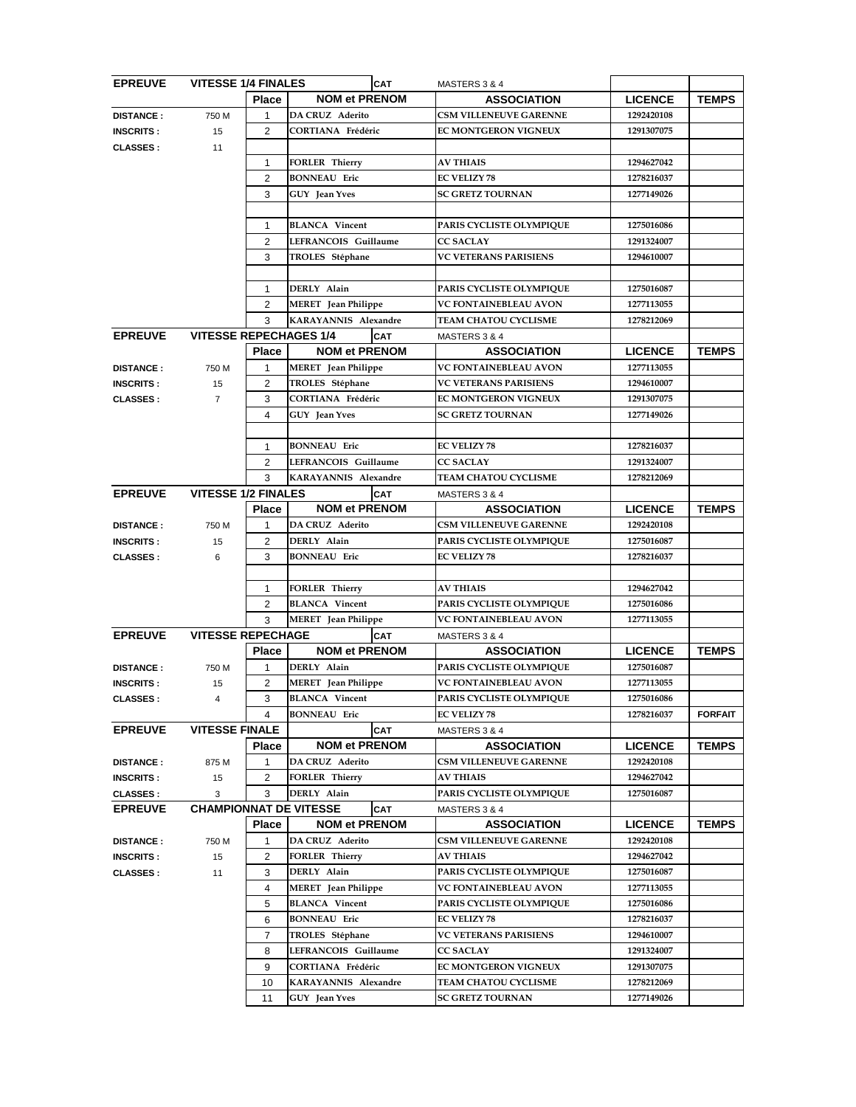| <b>EPREUVE</b>   |                               | <b>VITESSE 1/4 FINALES</b><br><b>CAT</b> |                            |            | MASTERS 3 & 4                 |                |                |
|------------------|-------------------------------|------------------------------------------|----------------------------|------------|-------------------------------|----------------|----------------|
|                  |                               | <b>Place</b>                             | <b>NOM et PRENOM</b>       |            | <b>ASSOCIATION</b>            | <b>LICENCE</b> | <b>TEMPS</b>   |
| <b>DISTANCE:</b> | 750 M                         | $\mathbf{1}$                             | DA CRUZ Aderito            |            | <b>CSM VILLENEUVE GARENNE</b> | 1292420108     |                |
| <b>INSCRITS:</b> | 15                            | $\overline{2}$                           | <b>CORTIANA Frédéric</b>   |            | EC MONTGERON VIGNEUX          | 1291307075     |                |
| <b>CLASSES:</b>  | 11                            |                                          |                            |            |                               |                |                |
|                  |                               | 1                                        | <b>FORLER Thierry</b>      |            | <b>AV THIAIS</b>              | 1294627042     |                |
|                  |                               | $\overline{2}$                           | <b>BONNEAU</b> Eric        |            | <b>EC VELIZY 78</b>           | 1278216037     |                |
|                  |                               | 3                                        | GUY Jean Yves              |            | <b>SC GRETZ TOURNAN</b>       | 1277149026     |                |
|                  |                               |                                          |                            |            |                               |                |                |
|                  |                               | 1                                        | <b>BLANCA</b> Vincent      |            | PARIS CYCLISTE OLYMPIQUE      | 1275016086     |                |
|                  |                               | 2                                        | LEFRANCOIS Guillaume       |            | <b>CC SACLAY</b>              | 1291324007     |                |
|                  |                               | 3                                        | TROLES Stéphane            |            | <b>VC VETERANS PARISIENS</b>  | 1294610007     |                |
|                  |                               |                                          |                            |            |                               |                |                |
|                  |                               | 1                                        | DERLY Alain                |            | PARIS CYCLISTE OLYMPIQUE      | 1275016087     |                |
|                  |                               | 2                                        | MERET Jean Philippe        |            | <b>VC FONTAINEBLEAU AVON</b>  | 1277113055     |                |
|                  |                               | 3                                        | KARAYANNIS Alexandre       |            | TEAM CHATOU CYCLISME          | 1278212069     |                |
| <b>EPREUVE</b>   | <b>VITESSE REPECHAGES 1/4</b> |                                          |                            | <b>CAT</b> | MASTERS 3 & 4                 |                |                |
|                  |                               | <b>Place</b>                             | <b>NOM et PRENOM</b>       |            | <b>ASSOCIATION</b>            | <b>LICENCE</b> | <b>TEMPS</b>   |
| <b>DISTANCE:</b> | 750 M                         | 1                                        | <b>MERET</b> Jean Philippe |            | <b>VC FONTAINEBLEAU AVON</b>  | 1277113055     |                |
| <b>INSCRITS:</b> | 15                            | 2                                        | TROLES Stéphane            |            | <b>VC VETERANS PARISIENS</b>  | 1294610007     |                |
| <b>CLASSES:</b>  | $\overline{7}$                | 3                                        | <b>CORTIANA Frédéric</b>   |            | <b>EC MONTGERON VIGNEUX</b>   | 1291307075     |                |
|                  |                               | 4                                        | <b>GUY</b> Jean Yves       |            | <b>SC GRETZ TOURNAN</b>       | 1277149026     |                |
|                  |                               |                                          |                            |            |                               |                |                |
|                  |                               | 1                                        | <b>BONNEAU</b> Eric        |            | <b>EC VELIZY 78</b>           | 1278216037     |                |
|                  |                               | $\overline{2}$                           | LEFRANCOIS Guillaume       |            | <b>CC SACLAY</b>              | 1291324007     |                |
|                  |                               | 3                                        | KARAYANNIS Alexandre       |            | TEAM CHATOU CYCLISME          | 1278212069     |                |
| <b>EPREUVE</b>   | <b>VITESSE 1/2 FINALES</b>    |                                          |                            | <b>CAT</b> | MASTERS 3 & 4                 |                |                |
|                  |                               | <b>Place</b>                             | <b>NOM et PRENOM</b>       |            | <b>ASSOCIATION</b>            | <b>LICENCE</b> | <b>TEMPS</b>   |
| <b>DISTANCE:</b> | 750 M                         | $\mathbf{1}$                             | DA CRUZ Aderito            |            | <b>CSM VILLENEUVE GARENNE</b> | 1292420108     |                |
| <b>INSCRITS:</b> | 15                            | 2                                        | DERLY Alain                |            | PARIS CYCLISTE OLYMPIQUE      | 1275016087     |                |
| <b>CLASSES:</b>  | 6                             | 3                                        | <b>BONNEAU</b> Eric        |            | <b>EC VELIZY 78</b>           | 1278216037     |                |
|                  |                               |                                          |                            |            |                               |                |                |
|                  |                               | $\mathbf{1}$                             | <b>FORLER Thierry</b>      |            | <b>AV THIAIS</b>              | 1294627042     |                |
|                  |                               | 2                                        | <b>BLANCA</b> Vincent      |            | PARIS CYCLISTE OLYMPIQUE      | 1275016086     |                |
|                  |                               | 3                                        | <b>MERET</b> Jean Philippe |            | <b>VC FONTAINEBLEAU AVON</b>  | 1277113055     |                |
| <b>EPREUVE</b>   | <b>VITESSE REPECHAGE</b>      |                                          |                            | <b>CAT</b> | MASTERS 3 & 4                 |                |                |
|                  |                               | <b>Place</b>                             | <b>NOM et PRENOM</b>       |            | <b>ASSOCIATION</b>            | <b>LICENCE</b> | <b>TEMPS</b>   |
| <b>DISTANCE:</b> | 750 M                         | 1                                        | DERLY Alain                |            | PARIS CYCLISTE OLYMPIQUE      | 1275016087     |                |
| <b>INSCRITS:</b> | 15                            | 2                                        | <b>MERET</b> Jean Philippe |            | <b>VC FONTAINEBLEAU AVON</b>  | 1277113055     |                |
| <b>CLASSES:</b>  | 4                             | 3                                        | <b>BLANCA</b> Vincent      |            | PARIS CYCLISTE OLYMPIQUE      | 1275016086     |                |
|                  |                               | 4                                        | <b>BONNEAU</b> Eric        |            | <b>EC VELIZY 78</b>           | 1278216037     | <b>FORFAIT</b> |
| <b>EPREUVE</b>   | <b>VITESSE FINALE</b>         |                                          |                            | <b>CAT</b> | MASTERS 3 & 4                 |                |                |
|                  |                               | <b>Place</b>                             | <b>NOM et PRENOM</b>       |            | <b>ASSOCIATION</b>            | <b>LICENCE</b> | <b>TEMPS</b>   |
| <b>DISTANCE:</b> | 875 M                         | 1                                        | DA CRUZ Aderito            |            | <b>CSM VILLENEUVE GARENNE</b> | 1292420108     |                |
| <b>INSCRITS:</b> | 15                            | $\overline{2}$                           | <b>FORLER Thierry</b>      |            | <b>AV THIAIS</b>              | 1294627042     |                |
| <b>CLASSES:</b>  | 3                             | 3                                        | DERLY Alain                |            | PARIS CYCLISTE OLYMPIQUE      | 1275016087     |                |
| <b>EPREUVE</b>   | <b>CHAMPIONNAT DE VITESSE</b> |                                          |                            | <b>CAT</b> | MASTERS 3 & 4                 |                |                |
|                  |                               | <b>Place</b>                             | <b>NOM et PRENOM</b>       |            | <b>ASSOCIATION</b>            | <b>LICENCE</b> | <b>TEMPS</b>   |
| <b>DISTANCE:</b> | 750 M                         | $\mathbf{1}$                             | DA CRUZ Aderito            |            | <b>CSM VILLENEUVE GARENNE</b> | 1292420108     |                |
| <b>INSCRITS:</b> | 15                            | $\overline{2}$                           | <b>FORLER Thierry</b>      |            | <b>AV THIAIS</b>              | 1294627042     |                |
| <b>CLASSES:</b>  | 11                            | 3                                        | DERLY Alain                |            | PARIS CYCLISTE OLYMPIQUE      | 1275016087     |                |
|                  |                               | 4                                        | <b>MERET</b> Jean Philippe |            | <b>VC FONTAINEBLEAU AVON</b>  | 1277113055     |                |
|                  |                               | 5                                        | <b>BLANCA</b> Vincent      |            | PARIS CYCLISTE OLYMPIQUE      | 1275016086     |                |
|                  |                               | 6                                        | <b>BONNEAU</b> Eric        |            | <b>EC VELIZY 78</b>           | 1278216037     |                |
|                  |                               | $\overline{7}$                           | TROLES Stéphane            |            | <b>VC VETERANS PARISIENS</b>  | 1294610007     |                |
|                  |                               | 8                                        | LEFRANCOIS Guillaume       |            | <b>CC SACLAY</b>              | 1291324007     |                |
|                  |                               | 9                                        | <b>CORTIANA Frédéric</b>   |            | <b>EC MONTGERON VIGNEUX</b>   | 1291307075     |                |
|                  |                               | 10                                       | KARAYANNIS Alexandre       |            | <b>TEAM CHATOU CYCLISME</b>   | 1278212069     |                |
|                  |                               | 11                                       | GUY Jean Yves              |            | <b>SC GRETZ TOURNAN</b>       | 1277149026     |                |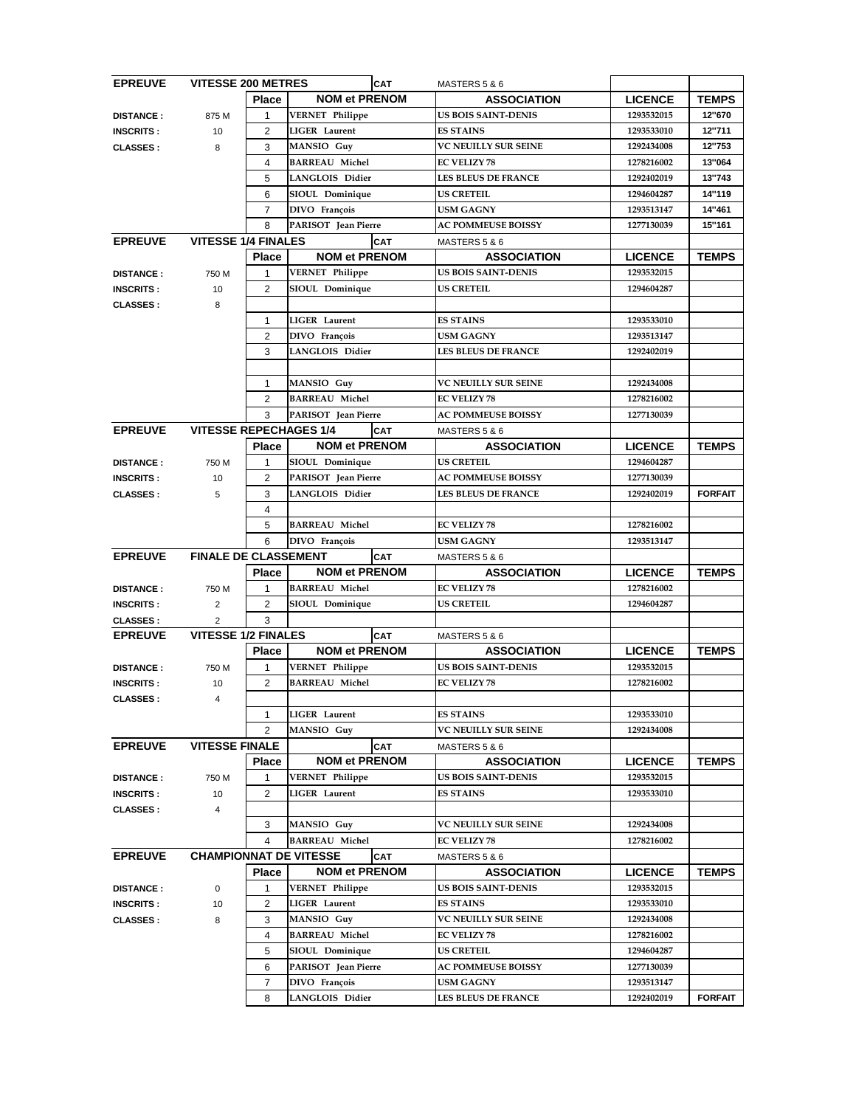| <b>EPREUVE</b>   | <b>VITESSE 200 METRES</b>     |                |                        | <b>CAT</b><br>MASTERS 5 & 6 |                                          |                |                |
|------------------|-------------------------------|----------------|------------------------|-----------------------------|------------------------------------------|----------------|----------------|
|                  |                               | <b>Place</b>   | <b>NOM et PRENOM</b>   |                             | <b>ASSOCIATION</b>                       | <b>LICENCE</b> | <b>TEMPS</b>   |
| <b>DISTANCE:</b> | 875 M                         | 1              | <b>VERNET</b> Philippe |                             | <b>US BOIS SAINT-DENIS</b>               | 1293532015     | 12"670         |
| <b>INSCRITS:</b> | 10                            | $\overline{2}$ | <b>LIGER</b> Laurent   |                             | <b>ES STAINS</b>                         | 1293533010     | 12"711         |
| <b>CLASSES:</b>  | 8                             | 3              | MANSIO Guy             |                             | <b>VC NEUILLY SUR SEINE</b>              | 1292434008     | 12"753         |
|                  |                               | 4              | <b>BARREAU Michel</b>  |                             | <b>EC VELIZY 78</b>                      | 1278216002     | 13"064         |
|                  |                               | 5              | <b>LANGLOIS Didier</b> |                             | <b>LES BLEUS DE FRANCE</b>               | 1292402019     | 13"743         |
|                  |                               | 6              | SIOUL Dominique        |                             | <b>US CRETEIL</b>                        | 1294604287     | 14"119         |
|                  |                               | $\overline{7}$ | DIVO François          |                             | <b>USM GAGNY</b>                         | 1293513147     | 14"461         |
|                  |                               | 8              | PARISOT Jean Pierre    |                             | <b>AC POMMEUSE BOISSY</b>                | 1277130039     | 15"161         |
| <b>EPREUVE</b>   | <b>VITESSE 1/4 FINALES</b>    |                |                        | <b>CAT</b>                  | MASTERS 5 & 6                            |                |                |
|                  |                               | <b>Place</b>   | <b>NOM et PRENOM</b>   |                             | <b>ASSOCIATION</b>                       | <b>LICENCE</b> | <b>TEMPS</b>   |
|                  |                               |                |                        |                             | <b>US BOIS SAINT-DENIS</b>               |                |                |
| <b>DISTANCE:</b> | 750 M                         | 1              | <b>VERNET Philippe</b> |                             |                                          | 1293532015     |                |
| <b>INSCRITS:</b> | 10                            | $\overline{2}$ | SIOUL Dominique        |                             | <b>US CRETEIL</b>                        | 1294604287     |                |
| <b>CLASSES:</b>  | 8                             |                |                        |                             |                                          |                |                |
|                  |                               | $\mathbf{1}$   | <b>LIGER</b> Laurent   |                             | <b>ES STAINS</b>                         | 1293533010     |                |
|                  |                               | $\overline{2}$ | DIVO François          |                             | <b>USM GAGNY</b>                         | 1293513147     |                |
|                  |                               | 3              | <b>LANGLOIS Didier</b> |                             | <b>LES BLEUS DE FRANCE</b>               | 1292402019     |                |
|                  |                               |                |                        |                             |                                          |                |                |
|                  |                               | $\mathbf{1}$   | <b>MANSIO</b> Guy      |                             | <b>VC NEUILLY SUR SEINE</b>              | 1292434008     |                |
|                  |                               | $\overline{2}$ | <b>BARREAU Michel</b>  |                             | <b>EC VELIZY 78</b>                      | 1278216002     |                |
|                  |                               | 3              | PARISOT Jean Pierre    |                             | <b>AC POMMEUSE BOISSY</b>                | 1277130039     |                |
| <b>EPREUVE</b>   | <b>VITESSE REPECHAGES 1/4</b> |                |                        | <b>CAT</b>                  | MASTERS 5 & 6                            |                |                |
|                  |                               | <b>Place</b>   | <b>NOM et PRENOM</b>   |                             | <b>ASSOCIATION</b>                       | <b>LICENCE</b> | <b>TEMPS</b>   |
| <b>DISTANCE:</b> | 750 M                         | 1              | SIOUL Dominique        |                             | <b>US CRETEIL</b>                        | 1294604287     |                |
| <b>INSCRITS:</b> | 10                            | 2              | PARISOT Jean Pierre    |                             | <b>AC POMMEUSE BOISSY</b>                | 1277130039     |                |
| <b>CLASSES:</b>  | 5                             | 3              | LANGLOIS Didier        |                             | <b>LES BLEUS DE FRANCE</b>               | 1292402019     | <b>FORFAIT</b> |
|                  |                               | 4              |                        |                             |                                          |                |                |
|                  |                               | 5              | <b>BARREAU Michel</b>  |                             | <b>EC VELIZY 78</b>                      | 1278216002     |                |
|                  |                               | 6              | DIVO François          |                             | <b>USM GAGNY</b>                         | 1293513147     |                |
| <b>EPREUVE</b>   | <b>FINALE DE CLASSEMENT</b>   |                |                        | <b>CAT</b>                  | MASTERS 5 & 6                            |                |                |
|                  |                               |                | Place NOM et PRENOM    |                             | <b>ASSOCIATION</b>                       | <b>LICENCE</b> | <b>TEMPS</b>   |
|                  |                               |                |                        |                             |                                          |                |                |
| <b>DISTANCE:</b> | 750 M                         | $\mathbf{1}$   | <b>BARREAU Michel</b>  |                             | <b>EC VELIZY 78</b><br><b>US CRETEIL</b> | 1278216002     |                |
| <b>INSCRITS:</b> | 2                             | $\overline{2}$ | SIOUL Dominique        |                             |                                          | 1294604287     |                |
| <b>CLASSES:</b>  | $\overline{2}$                | 3              |                        |                             |                                          |                |                |
| <b>EPREUVE</b>   | <b>VITESSE 1/2 FINALES</b>    |                |                        | <b>CAT</b>                  | MASTERS 5 & 6                            |                |                |
|                  |                               | <b>Place</b>   | <b>NOM et PRENOM</b>   |                             | <b>ASSOCIATION</b>                       | <b>LICENCE</b> | <b>TEMPS</b>   |
| <b>DISTANCE:</b> | 750 M                         | 1              | <b>VERNET</b> Philippe |                             | <b>US BOIS SAINT-DENIS</b>               | 1293532015     |                |
| <b>INSCRITS:</b> | 10                            | 2              | <b>BARREAU Michel</b>  |                             | <b>EC VELIZY 78</b>                      | 1278216002     |                |
| <b>CLASSES:</b>  | 4                             |                |                        |                             |                                          |                |                |
|                  |                               | 1              | <b>LIGER</b> Laurent   |                             | <b>ES STAINS</b>                         | 1293533010     |                |
|                  |                               | $\overline{2}$ | MANSIO Guy             |                             | <b>VC NEUILLY SUR SEINE</b>              | 1292434008     |                |
| <b>EPREUVE</b>   | <b>VITESSE FINALE</b>         |                |                        | <b>CAT</b>                  | MASTERS 5 & 6                            |                |                |
|                  |                               | <b>Place</b>   | <b>NOM et PRENOM</b>   |                             | <b>ASSOCIATION</b>                       | <b>LICENCE</b> | <b>TEMPS</b>   |
| <b>DISTANCE:</b> | 750 M                         | 1              | <b>VERNET</b> Philippe |                             | <b>US BOIS SAINT-DENIS</b>               | 1293532015     |                |
| <b>INSCRITS:</b> | 10                            | $\overline{2}$ | <b>LIGER</b> Laurent   |                             | <b>ES STAINS</b>                         | 1293533010     |                |
| <b>CLASSES:</b>  | 4                             |                |                        |                             |                                          |                |                |
|                  |                               | 3              | <b>MANSIO</b> Guy      |                             | <b>VC NEUILLY SUR SEINE</b>              | 1292434008     |                |
|                  |                               | 4              | <b>BARREAU Michel</b>  |                             | <b>EC VELIZY 78</b>                      | 1278216002     |                |
| <b>EPREUVE</b>   | <b>CHAMPIONNAT DE VITESSE</b> |                |                        | <b>CAT</b>                  | MASTERS 5 & 6                            |                |                |
|                  |                               | <b>Place</b>   | <b>NOM et PRENOM</b>   |                             | <b>ASSOCIATION</b>                       | <b>LICENCE</b> | <b>TEMPS</b>   |
| <b>DISTANCE:</b> | 0                             | 1              | <b>VERNET Philippe</b> |                             | <b>US BOIS SAINT-DENIS</b>               | 1293532015     |                |
|                  |                               |                | <b>LIGER</b> Laurent   |                             | <b>ES STAINS</b>                         | 1293533010     |                |
| <b>INSCRITS:</b> | 10                            | 2              |                        |                             |                                          |                |                |
| <b>CLASSES:</b>  | 8                             | 3              | MANSIO Guy             |                             | <b>VC NEUILLY SUR SEINE</b>              | 1292434008     |                |
|                  |                               | 4              | <b>BARREAU Michel</b>  |                             | <b>EC VELIZY 78</b>                      | 1278216002     |                |
|                  |                               | 5              | SIOUL Dominique        |                             | <b>US CRETEIL</b>                        | 1294604287     |                |
|                  |                               | 6              | PARISOT Jean Pierre    |                             | <b>AC POMMEUSE BOISSY</b>                | 1277130039     |                |
|                  |                               | $\overline{7}$ | DIVO François          |                             | <b>USM GAGNY</b>                         | 1293513147     |                |
|                  |                               | 8              | <b>LANGLOIS Didier</b> |                             | <b>LES BLEUS DE FRANCE</b>               | 1292402019     | <b>FORFAIT</b> |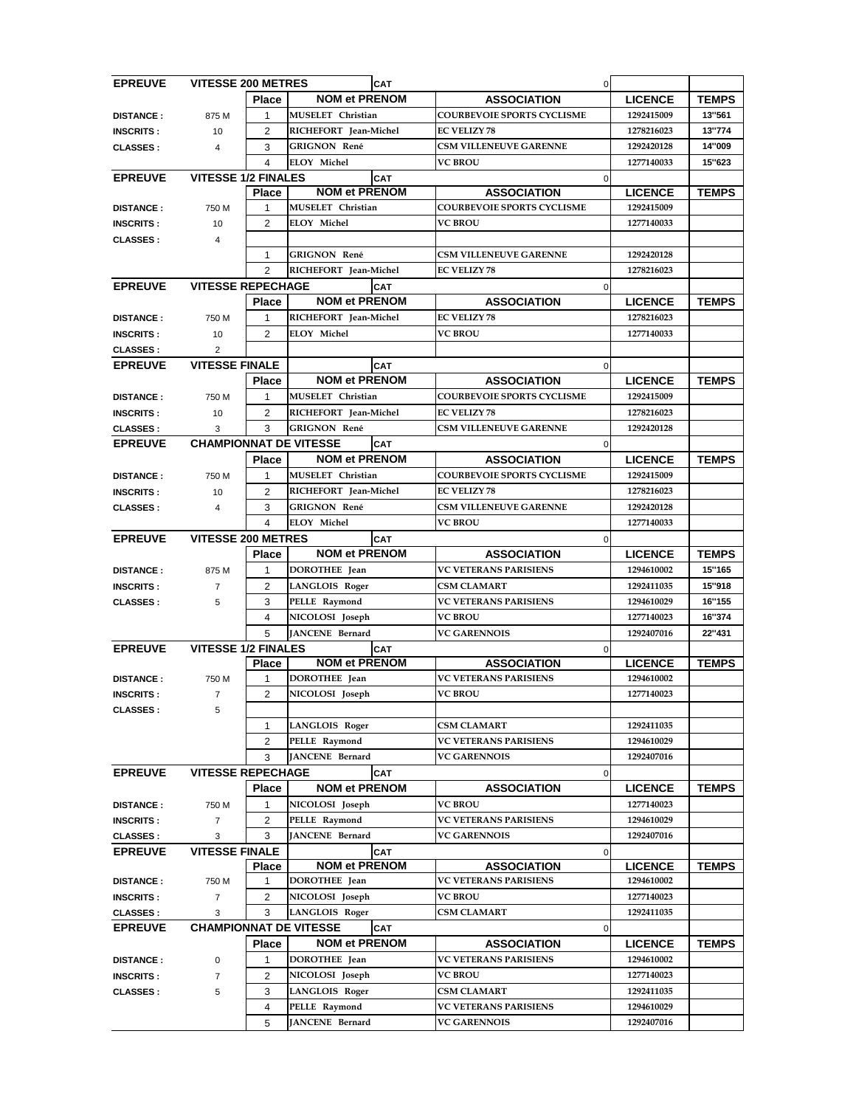| <b>EPREUVE</b>   | <b>VITESSE 200 METRES</b>     |                |                          | <b>CAT</b> |                                   | $\overline{O}$ |                |              |
|------------------|-------------------------------|----------------|--------------------------|------------|-----------------------------------|----------------|----------------|--------------|
|                  |                               | <b>Place</b>   | <b>NOM et PRENOM</b>     |            | <b>ASSOCIATION</b>                |                | <b>LICENCE</b> | <b>TEMPS</b> |
| <b>DISTANCE:</b> | 875 M                         | $\mathbf{1}$   | MUSELET Christian        |            | <b>COURBEVOIE SPORTS CYCLISME</b> |                | 1292415009     | 13"561       |
| <b>INSCRITS:</b> | 10                            | $\overline{2}$ | RICHEFORT Jean-Michel    |            | <b>EC VELIZY 78</b>               |                | 1278216023     | 13"774       |
| <b>CLASSES:</b>  | 4                             | 3              | <b>GRIGNON René</b>      |            | <b>CSM VILLENEUVE GARENNE</b>     |                | 1292420128     | 14"009       |
|                  |                               | 4              | ELOY Michel              |            | <b>VC BROU</b>                    |                | 1277140033     | 15"623       |
| <b>EPREUVE</b>   | <b>VITESSE 1/2 FINALES</b>    |                |                          | <b>CAT</b> |                                   | $\Omega$       |                |              |
|                  |                               | <b>Place</b>   | <b>NOM et PRENOM</b>     |            | <b>ASSOCIATION</b>                |                | <b>LICENCE</b> | <b>TEMPS</b> |
| <b>DISTANCE:</b> | 750 M                         | 1              | <b>MUSELET</b> Christian |            | <b>COURBEVOIE SPORTS CYCLISME</b> |                | 1292415009     |              |
| <b>INSCRITS:</b> | 10                            | $\overline{2}$ | <b>ELOY Michel</b>       |            | <b>VC BROU</b>                    |                | 1277140033     |              |
| <b>CLASSES:</b>  | 4                             |                |                          |            |                                   |                |                |              |
|                  |                               |                | <b>GRIGNON René</b>      |            | <b>CSM VILLENEUVE GARENNE</b>     |                | 1292420128     |              |
|                  |                               | 1              |                          |            |                                   |                |                |              |
|                  |                               | $\overline{2}$ | RICHEFORT Jean-Michel    |            | <b>EC VELIZY 78</b>               |                | 1278216023     |              |
| <b>EPREUVE</b>   | <b>VITESSE REPECHAGE</b>      |                |                          | <b>CAT</b> |                                   | $\overline{0}$ |                |              |
|                  |                               | <b>Place</b>   | <b>NOM et PRENOM</b>     |            | <b>ASSOCIATION</b>                |                | <b>LICENCE</b> | <b>TEMPS</b> |
| <b>DISTANCE:</b> | 750 M                         | $\mathbf{1}$   | RICHEFORT Jean-Michel    |            | <b>EC VELIZY 78</b>               |                | 1278216023     |              |
| <b>INSCRITS:</b> | 10                            | 2              | <b>ELOY Michel</b>       |            | <b>VC BROU</b>                    |                | 1277140033     |              |
| <b>CLASSES:</b>  | 2                             |                |                          |            |                                   |                |                |              |
| <b>EPREUVE</b>   | <b>VITESSE FINALE</b>         |                |                          | <b>CAT</b> |                                   | $\overline{0}$ |                |              |
|                  |                               | <b>Place</b>   | <b>NOM et PRENOM</b>     |            | <b>ASSOCIATION</b>                |                | <b>LICENCE</b> | <b>TEMPS</b> |
| <b>DISTANCE:</b> | 750 M                         | $\mathbf{1}$   | MUSELET Christian        |            | <b>COURBEVOIE SPORTS CYCLISME</b> |                | 1292415009     |              |
| <b>INSCRITS:</b> | 10                            | $\overline{2}$ | RICHEFORT Jean-Michel    |            | <b>EC VELIZY 78</b>               |                | 1278216023     |              |
| <b>CLASSES:</b>  | 3                             | 3              | <b>GRIGNON René</b>      |            | <b>CSM VILLENEUVE GARENNE</b>     |                | 1292420128     |              |
| <b>EPREUVE</b>   | <b>CHAMPIONNAT DE VITESSE</b> |                |                          | CAT        |                                   | $\mathbf 0$    |                |              |
|                  |                               | <b>Place</b>   | <b>NOM et PRENOM</b>     |            | <b>ASSOCIATION</b>                |                | <b>LICENCE</b> | <b>TEMPS</b> |
| <b>DISTANCE:</b> | 750 M                         | 1              | MUSELET Christian        |            | <b>COURBEVOIE SPORTS CYCLISME</b> |                | 1292415009     |              |
|                  |                               |                |                          |            | <b>EC VELIZY 78</b>               |                |                |              |
| <b>INSCRITS:</b> | 10                            | $\overline{2}$ | RICHEFORT Jean-Michel    |            |                                   |                | 1278216023     |              |
| <b>CLASSES:</b>  | 4                             | 3              | <b>GRIGNON René</b>      |            | <b>CSM VILLENEUVE GARENNE</b>     |                | 1292420128     |              |
|                  |                               | 4              | <b>ELOY Michel</b>       |            | <b>VC BROU</b>                    |                | 1277140033     |              |
| <b>EPREUVE</b>   | <b>VITESSE 200 METRES</b>     |                |                          | <b>CAT</b> |                                   | $\overline{0}$ |                |              |
|                  |                               | <b>Place</b>   | <b>NOM et PRENOM</b>     |            | <b>ASSOCIATION</b>                |                | <b>LICENCE</b> | <b>TEMPS</b> |
| <b>DISTANCE:</b> | 875 M                         | $\sim$ 1       | DOROTHEE Jean            |            | <b>VC VETERANS PARISIENS</b>      |                | 1294610002     | 15"165       |
| <b>INSCRITS:</b> | $\overline{7}$                | 2              | <b>LANGLOIS Roger</b>    |            | <b>CSM CLAMART</b>                |                | 1292411035     | 15"918       |
| <b>CLASSES:</b>  | 5                             | 3              | PELLE Raymond            |            | <b>VC VETERANS PARISIENS</b>      |                | 1294610029     | 16"155       |
|                  |                               | 4              | NICOLOSI Joseph          |            | <b>VC BROU</b>                    |                | 1277140023     | 16"374       |
|                  |                               | 5              | JANCENE Bernard          |            | <b>VC GARENNOIS</b>               |                | 1292407016     | 22"431       |
| <b>EPREUVE</b>   | <b>VITESSE 1/2 FINALES</b>    |                |                          | <b>CAT</b> |                                   | 0              |                |              |
|                  |                               | <b>Place</b>   | <b>NOM et PRENOM</b>     |            | <b>ASSOCIATION</b>                |                | <b>LICENCE</b> | <b>TEMPS</b> |
| <b>DISTANCE:</b> | 750 M                         | 1              | DOROTHEE Jean            |            | <b>VC VETERANS PARISIENS</b>      |                | 1294610002     |              |
| <b>INSCRITS:</b> | $\overline{7}$                | $\overline{2}$ | NICOLOSI Joseph          |            | <b>VC BROU</b>                    |                | 1277140023     |              |
| <b>CLASSES:</b>  | 5                             |                |                          |            |                                   |                |                |              |
|                  |                               | 1              | <b>LANGLOIS Roger</b>    |            | <b>CSM CLAMART</b>                |                | 1292411035     |              |
|                  |                               | 2              | PELLE Raymond            |            | <b>VC VETERANS PARISIENS</b>      |                | 1294610029     |              |
|                  |                               | 3              |                          |            | <b>VC GARENNOIS</b>               |                |                |              |
|                  |                               |                | JANCENE Bernard          |            |                                   |                | 1292407016     |              |
| <b>EPREUVE</b>   | <b>VITESSE REPECHAGE</b>      |                |                          | <b>CAT</b> |                                   | 0              |                |              |
|                  |                               | <b>Place</b>   | <b>NOM et PRENOM</b>     |            | <b>ASSOCIATION</b>                |                | <b>LICENCE</b> | <b>TEMPS</b> |
| <b>DISTANCE:</b> | 750 M                         | 1              | NICOLOSI Joseph          |            | <b>VC BROU</b>                    |                | 1277140023     |              |
| <b>INSCRITS:</b> | $\overline{7}$                | $\overline{2}$ | PELLE Raymond            |            | <b>VC VETERANS PARISIENS</b>      |                | 1294610029     |              |
| <b>CLASSES:</b>  | 3                             | 3              | JANCENE Bernard          |            | <b>VC GARENNOIS</b>               |                | 1292407016     |              |
| <b>EPREUVE</b>   | <b>VITESSE FINALE</b>         |                |                          | <b>CAT</b> |                                   | 0              |                |              |
|                  |                               | <b>Place</b>   | <b>NOM et PRENOM</b>     |            | <b>ASSOCIATION</b>                |                | <b>LICENCE</b> | <b>TEMPS</b> |
| <b>DISTANCE:</b> | 750 M                         | $\mathbf{1}$   | DOROTHEE Jean            |            | <b>VC VETERANS PARISIENS</b>      |                | 1294610002     |              |
| <b>INSCRITS:</b> | $\overline{7}$                | 2              | NICOLOSI Joseph          |            | <b>VC BROU</b>                    |                | 1277140023     |              |
| <b>CLASSES:</b>  | 3                             | 3              | <b>LANGLOIS Roger</b>    |            | <b>CSM CLAMART</b>                |                | 1292411035     |              |
| <b>EPREUVE</b>   | <b>CHAMPIONNAT DE VITESSE</b> |                |                          | <b>CAT</b> |                                   | $\overline{0}$ |                |              |
|                  |                               | <b>Place</b>   | <b>NOM et PRENOM</b>     |            | <b>ASSOCIATION</b>                |                | <b>LICENCE</b> | <b>TEMPS</b> |
| <b>DISTANCE:</b> | $\Omega$                      | 1              | DOROTHEE Jean            |            | <b>VC VETERANS PARISIENS</b>      |                | 1294610002     |              |
| <b>INSCRITS:</b> | 7                             | $\overline{2}$ | NICOLOSI Joseph          |            | <b>VC BROU</b>                    |                | 1277140023     |              |
| <b>CLASSES:</b>  | 5                             | 3              | LANGLOIS Roger           |            | <b>CSM CLAMART</b>                |                | 1292411035     |              |
|                  |                               | 4              | PELLE Raymond            |            | <b>VC VETERANS PARISIENS</b>      |                | 1294610029     |              |
|                  |                               | 5              | JANCENE Bernard          |            | <b>VC GARENNOIS</b>               |                | 1292407016     |              |
|                  |                               |                |                          |            |                                   |                |                |              |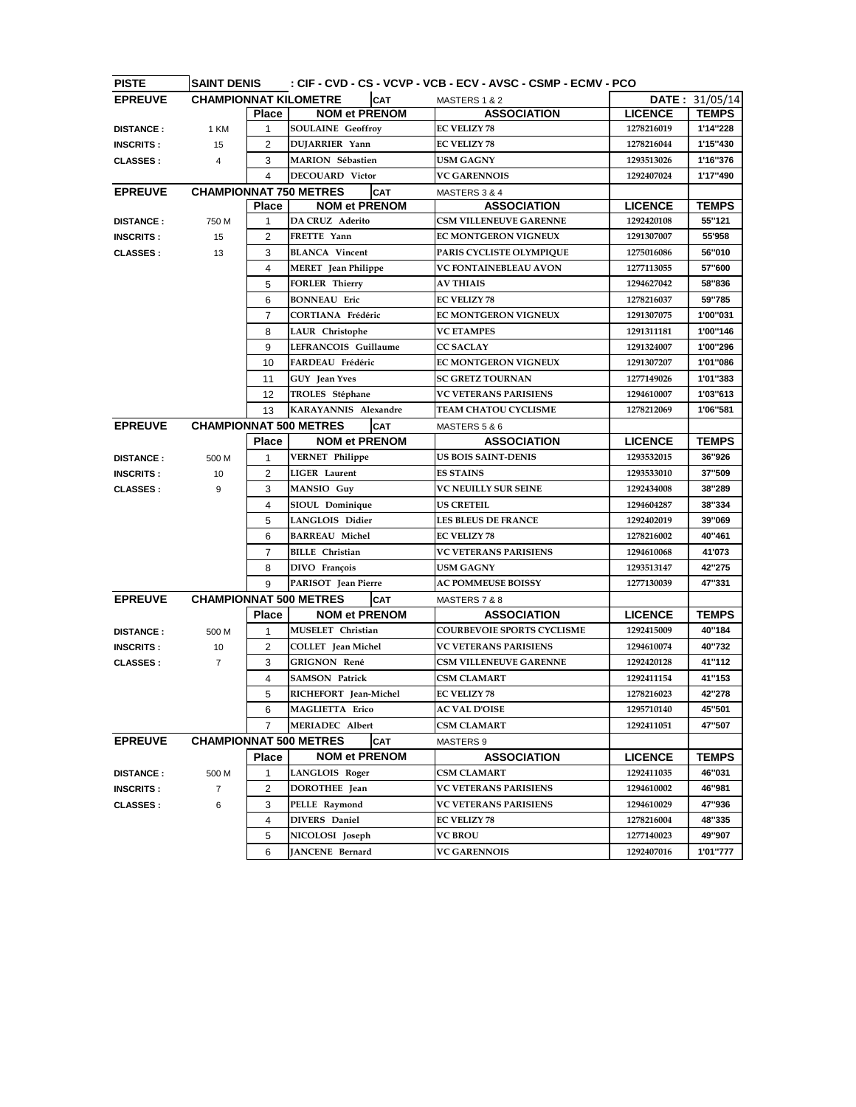| <b>PISTE</b>     | : CIF - CVD - CS - VCVP - VCB - ECV - AVSC - CSMP - ECMV - PCO<br><b>SAINT DENIS</b> |                |                               |            |                                   |  |                |                  |
|------------------|--------------------------------------------------------------------------------------|----------------|-------------------------------|------------|-----------------------------------|--|----------------|------------------|
| <b>EPREUVE</b>   | <b>CHAMPIONNAT KILOMETRE</b>                                                         |                |                               | <b>CAT</b> | MASTERS 1 & 2                     |  |                | DATE: $31/05/14$ |
|                  |                                                                                      | <b>Place</b>   | <b>NOM et PRENOM</b>          |            | <b>ASSOCIATION</b>                |  | <b>LICENCE</b> | <b>TEMPS</b>     |
| <b>DISTANCE:</b> | 1 KM                                                                                 | $\mathbf{1}$   | <b>SOULAINE Geoffroy</b>      |            | <b>EC VELIZY 78</b>               |  | 1278216019     | 1'14"228         |
| <b>INSCRITS:</b> | 15                                                                                   | 2              | DUJARRIER Yann                |            | <b>EC VELIZY 78</b>               |  | 1278216044     | 1'15"430         |
| <b>CLASSES:</b>  | 4                                                                                    | 3              | <b>MARION Sébastien</b>       |            | <b>USM GAGNY</b>                  |  | 1293513026     | 1'16"376         |
|                  |                                                                                      | 4              | <b>DECOUARD</b> Victor        |            | <b>VC GARENNOIS</b>               |  | 1292407024     | 1'17"490         |
| <b>EPREUVE</b>   |                                                                                      |                | <b>CHAMPIONNAT 750 METRES</b> | <b>CAT</b> | MASTERS 3 & 4                     |  |                |                  |
|                  |                                                                                      | <b>Place</b>   | <b>NOM et PRENOM</b>          |            | <b>ASSOCIATION</b>                |  | <b>LICENCE</b> | <b>TEMPS</b>     |
| <b>DISTANCE:</b> | 750 M                                                                                | 1              | <b>DA CRUZ Aderito</b>        |            | <b>CSM VILLENEUVE GARENNE</b>     |  | 1292420108     | 55"121           |
| <b>INSCRITS:</b> | 15                                                                                   | 2              | FRETTE Yann                   |            | EC MONTGERON VIGNEUX              |  | 1291307007     | 55'958           |
| <b>CLASSES:</b>  | 13                                                                                   | 3              | <b>BLANCA</b> Vincent         |            | PARIS CYCLISTE OLYMPIQUE          |  | 1275016086     | 56"010           |
|                  |                                                                                      | 4              | <b>MERET</b> Jean Philippe    |            | <b>VC FONTAINEBLEAU AVON</b>      |  | 1277113055     | 57"600           |
|                  |                                                                                      | 5              | <b>FORLER Thierry</b>         |            | <b>AV THIAIS</b>                  |  | 1294627042     | 58"836           |
|                  |                                                                                      | 6              | <b>BONNEAU</b> Eric           |            | <b>EC VELIZY 78</b>               |  | 1278216037     | 59"785           |
|                  |                                                                                      | $\overline{7}$ | CORTIANA Frédéric             |            | EC MONTGERON VIGNEUX              |  | 1291307075     | 1'00"031         |
|                  |                                                                                      | 8              | <b>LAUR</b> Christophe        |            | <b>VC ETAMPES</b>                 |  | 1291311181     | 1'00"146         |
|                  |                                                                                      | 9              | LEFRANCOIS Guillaume          |            | <b>CC SACLAY</b>                  |  | 1291324007     | 1'00"296         |
|                  |                                                                                      | 10             | FARDEAU Frédéric              |            | EC MONTGERON VIGNEUX              |  | 1291307207     | 1'01"086         |
|                  |                                                                                      | 11             | GUY Jean Yves                 |            | <b>SC GRETZ TOURNAN</b>           |  | 1277149026     | 1'01"383         |
|                  |                                                                                      | 12             | TROLES Stéphane               |            | <b>VC VETERANS PARISIENS</b>      |  | 1294610007     | 1'03"613         |
|                  |                                                                                      | 13             | KARAYANNIS Alexandre          |            | TEAM CHATOU CYCLISME              |  | 1278212069     | 1'06"581         |
| <b>EPREUVE</b>   |                                                                                      |                | <b>CHAMPIONNAT 500 METRES</b> | <b>CAT</b> | MASTERS 5 & 6                     |  |                |                  |
|                  |                                                                                      | <b>Place</b>   | <b>NOM et PRENOM</b>          |            | <b>ASSOCIATION</b>                |  | <b>LICENCE</b> | <b>TEMPS</b>     |
| <b>DISTANCE:</b> | 500 M                                                                                | $\mathbf{1}$   | <b>VERNET Philippe</b>        |            | <b>US BOIS SAINT-DENIS</b>        |  | 1293532015     | 36"926           |
| <b>INSCRITS:</b> | 10                                                                                   | $\overline{2}$ | <b>LIGER</b> Laurent          |            | <b>ES STAINS</b>                  |  | 1293533010     | 37"509           |
| <b>CLASSES:</b>  | 9                                                                                    | 3              | <b>MANSIO</b> Guy             |            | VC NEUILLY SUR SEINE              |  | 1292434008     | 38"289           |
|                  |                                                                                      | 4              | SIOUL Dominique               |            | <b>US CRETEIL</b>                 |  | 1294604287     | 38"334           |
|                  |                                                                                      | 5              | LANGLOIS Didier               |            | <b>LES BLEUS DE FRANCE</b>        |  | 1292402019     | 39"069           |
|                  |                                                                                      | 6              | <b>BARREAU Michel</b>         |            | <b>EC VELIZY 78</b>               |  | 1278216002     | 40"461           |
|                  |                                                                                      | $\overline{7}$ | <b>BILLE</b> Christian        |            | <b>VC VETERANS PARISIENS</b>      |  | 1294610068     | 41'073           |
|                  |                                                                                      | 8              | DIVO François                 |            | <b>USM GAGNY</b>                  |  | 1293513147     | 42"275           |
|                  |                                                                                      | 9              | PARISOT Jean Pierre           |            | <b>AC POMMEUSE BOISSY</b>         |  | 1277130039     | 47"331           |
| <b>EPREUVE</b>   |                                                                                      |                | <b>CHAMPIONNAT 500 METRES</b> | <b>CAT</b> | MASTERS 7 & 8                     |  |                |                  |
|                  |                                                                                      | <b>Place</b>   | <b>NOM et PRENOM</b>          |            | <b>ASSOCIATION</b>                |  | <b>LICENCE</b> | <b>TEMPS</b>     |
| <b>DISTANCE:</b> | 500 M                                                                                | 1              | MUSELET Christian             |            | <b>COURBEVOIE SPORTS CYCLISME</b> |  | 1292415009     | 40"184           |
| <b>INSCRITS:</b> | 10                                                                                   | 2              | <b>COLLET</b> Jean Michel     |            | <b>VC VETERANS PARISIENS</b>      |  | 1294610074     | 40"732           |
| <b>CLASSES:</b>  | $\overline{7}$                                                                       | 3              | <b>GRIGNON René</b>           |            | <b>CSM VILLENEUVE GARENNE</b>     |  | 1292420128     | 41"112           |
|                  |                                                                                      | 4              | <b>SAMSON Patrick</b>         |            | <b>CSM CLAMART</b>                |  | 1292411154     | 41"153           |
|                  |                                                                                      | 5              | RICHEFORT Jean-Michel         |            | <b>EC VELIZY 78</b>               |  | 1278216023     | 42"278           |
|                  |                                                                                      | 6              | MAGLIETTA Erico               |            | <b>AC VAL D'OISE</b>              |  | 1295710140     | 45"501           |
|                  |                                                                                      | $\overline{7}$ | <b>MERIADEC Albert</b>        |            | <b>CSM CLAMART</b>                |  | 1292411051     | 47"507           |
| <b>EPREUVE</b>   |                                                                                      |                | <b>CHAMPIONNAT 500 METRES</b> | <b>CAT</b> | MASTERS 9                         |  |                |                  |
|                  |                                                                                      | <b>Place</b>   | <b>NOM et PRENOM</b>          |            | <b>ASSOCIATION</b>                |  | <b>LICENCE</b> | <b>TEMPS</b>     |
| <b>DISTANCE:</b> | 500 M                                                                                | 1              | LANGLOIS Roger                |            | <b>CSM CLAMART</b>                |  | 1292411035     | 46"031           |
| <b>INSCRITS:</b> | 7                                                                                    | 2              | DOROTHEE Jean                 |            | <b>VC VETERANS PARISIENS</b>      |  | 1294610002     | 46"981           |
| <b>CLASSES:</b>  | 6                                                                                    | 3              | PELLE Raymond                 |            | <b>VC VETERANS PARISIENS</b>      |  | 1294610029     | 47"936           |
|                  |                                                                                      | 4              | <b>DIVERS</b> Daniel          |            | EC VELIZY 78                      |  | 1278216004     | 48"335           |
|                  |                                                                                      | 5              | NICOLOSI Joseph               |            | <b>VC BROU</b>                    |  | 1277140023     | 49"907           |
|                  |                                                                                      | 6              | JANCENE Bernard               |            | <b>VC GARENNOIS</b>               |  | 1292407016     | 1'01"777         |
|                  |                                                                                      |                |                               |            |                                   |  |                |                  |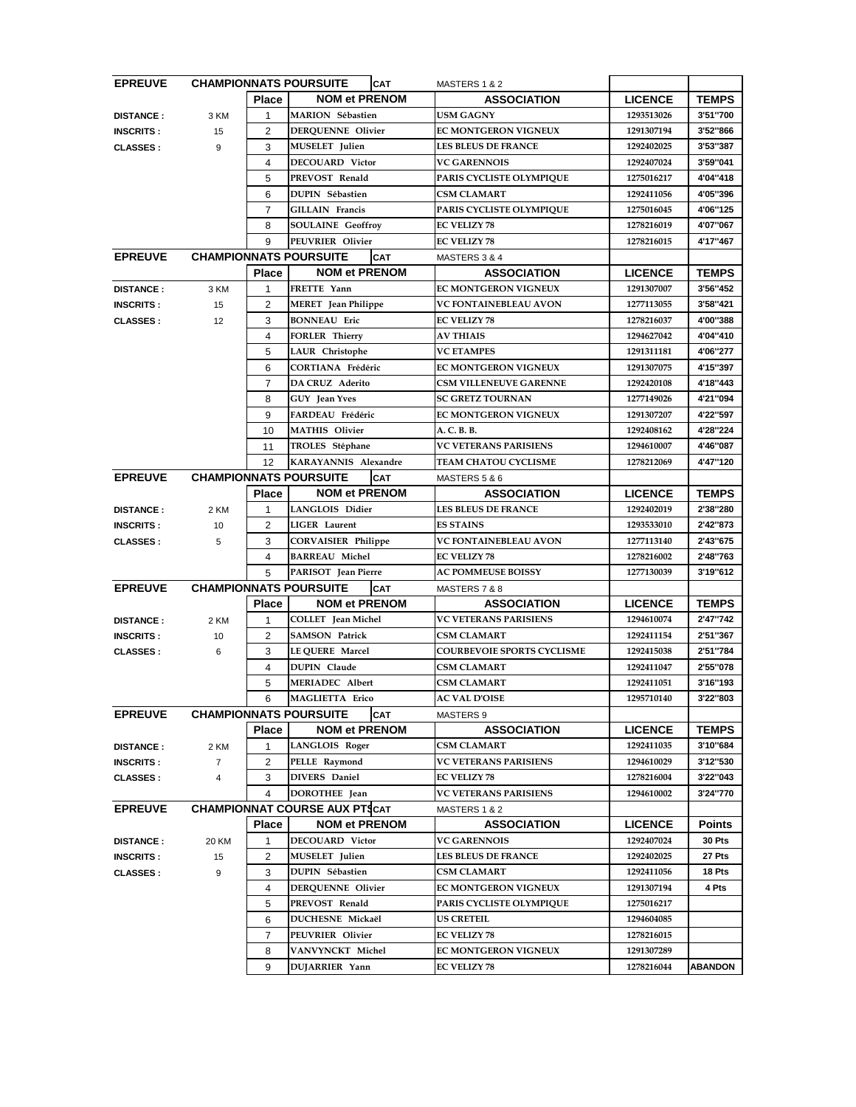| <b>EPREUVE</b>   |                |                |                                             |                                   |                |                |
|------------------|----------------|----------------|---------------------------------------------|-----------------------------------|----------------|----------------|
|                  |                | <b>Place</b>   | <b>NOM et PRENOM</b>                        | <b>ASSOCIATION</b>                | <b>LICENCE</b> | <b>TEMPS</b>   |
| <b>DISTANCE:</b> | 3 KM           | $\mathbf{1}$   | <b>MARION</b> Sébastien                     | <b>USM GAGNY</b>                  | 1293513026     | 3'51"700       |
| <b>INSCRITS:</b> | 15             | 2              | <b>DERQUENNE Olivier</b>                    | EC MONTGERON VIGNEUX              | 1291307194     | 3'52"866       |
| <b>CLASSES:</b>  | 9              | 3              | <b>MUSELET</b> Julien                       | <b>LES BLEUS DE FRANCE</b>        | 1292402025     | 3'53"387       |
|                  |                | 4              | <b>DECOUARD Victor</b>                      | <b>VC GARENNOIS</b>               | 1292407024     | 3'59"041       |
|                  |                | 5              | PREVOST Renald                              | PARIS CYCLISTE OLYMPIQUE          | 1275016217     | 4'04"418       |
|                  |                | 6              | <b>DUPIN Sébastien</b>                      | <b>CSM CLAMART</b>                | 1292411056     | 4'05"396       |
|                  |                | $\overline{7}$ | <b>GILLAIN Francis</b>                      | PARIS CYCLISTE OLYMPIQUE          | 1275016045     | 4'06"125       |
|                  |                | 8              | <b>SOULAINE</b> Geoffroy                    | <b>EC VELIZY 78</b>               | 1278216019     | 4'07"067       |
|                  |                | 9              | PEUVRIER Olivier                            | <b>EC VELIZY 78</b>               | 1278216015     | 4'17"467       |
| <b>EPREUVE</b>   |                |                | <b>CHAMPIONNATS POURSUITE</b><br><b>CAT</b> | MASTERS 3 & 4                     |                |                |
|                  |                | <b>Place</b>   | <b>NOM et PRENOM</b>                        | <b>ASSOCIATION</b>                | <b>LICENCE</b> | <b>TEMPS</b>   |
| <b>DISTANCE:</b> | 3 KM           | 1              | FRETTE Yann                                 | EC MONTGERON VIGNEUX              | 1291307007     | 3'56"452       |
| <b>INSCRITS:</b> | 15             | 2              | <b>MERET</b> Jean Philippe                  | <b>VC FONTAINEBLEAU AVON</b>      | 1277113055     | 3'58"421       |
| <b>CLASSES:</b>  | 12             | 3              | <b>BONNEAU</b> Eric                         | <b>EC VELIZY 78</b>               | 1278216037     | 4'00"388       |
|                  |                | 4              | <b>FORLER Thierry</b>                       | <b>AV THIAIS</b>                  | 1294627042     | 4'04"410       |
|                  |                | 5              | LAUR Christophe                             | <b>VC ETAMPES</b>                 | 1291311181     | 4'06"277       |
|                  |                | 6              | <b>CORTIANA Frédéric</b>                    | <b>EC MONTGERON VIGNEUX</b>       | 1291307075     | 4'15"397       |
|                  |                | $\overline{7}$ | DA CRUZ Aderito                             | <b>CSM VILLENEUVE GARENNE</b>     | 1292420108     | 4'18"443       |
|                  |                | 8              | <b>GUY</b> Jean Yves                        | <b>SC GRETZ TOURNAN</b>           | 1277149026     | 4'21"094       |
|                  |                | 9              | FARDEAU Frédéric                            | EC MONTGERON VIGNEUX              | 1291307207     | 4'22"597       |
|                  |                | 10             | <b>MATHIS Olivier</b>                       | A. C. B. B.                       | 1292408162     | 4'28"224       |
|                  |                | 11             | TROLES Stéphane                             | <b>VC VETERANS PARISIENS</b>      | 1294610007     | 4'46"087       |
|                  |                | 12             | KARAYANNIS Alexandre                        | <b>TEAM CHATOU CYCLISME</b>       | 1278212069     | 4'47"120       |
| <b>EPREUVE</b>   |                |                | <b>CHAMPIONNATS POURSUITE</b><br><b>CAT</b> | MASTERS 5 & 6                     |                |                |
|                  |                | <b>Place</b>   | <b>NOM et PRENOM</b>                        | <b>ASSOCIATION</b>                | <b>LICENCE</b> | <b>TEMPS</b>   |
| <b>DISTANCE:</b> | 2 KM           | 1              | LANGLOIS Didier                             | <b>LES BLEUS DE FRANCE</b>        | 1292402019     | 2'38"280       |
| <b>INSCRITS:</b> | 10             | 2              | <b>LIGER</b> Laurent                        | <b>ES STAINS</b>                  | 1293533010     | 2'42"873       |
| <b>CLASSES:</b>  | 5              | 3              | <b>CORVAISIER Philippe</b>                  | <b>VC FONTAINEBLEAU AVON</b>      | 1277113140     | 2'43"675       |
|                  |                | 4              | <b>BARREAU Michel</b>                       | <b>EC VELIZY 78</b>               | 1278216002     | 2'48"763       |
|                  |                | 5              | PARISOT Jean Pierre                         | <b>AC POMMEUSE BOISSY</b>         | 1277130039     | 3'19"612       |
| <b>EPREUVE</b>   |                |                | <b>CHAMPIONNATS POURSUITE</b><br><b>CAT</b> | MASTERS 7 & 8                     |                |                |
|                  |                | <b>Place</b>   | <b>NOM et PRENOM</b>                        | <b>ASSOCIATION</b>                | <b>LICENCE</b> | <b>TEMPS</b>   |
| <b>DISTANCE:</b> | 2 KM           | 1              | COLLET Jean Michel                          | <b>VC VETERANS PARISIENS</b>      | 1294610074     | 2'47"742       |
| <b>INSCRITS:</b> | 10             | 2              | <b>SAMSON Patrick</b>                       | <b>CSM CLAMART</b>                | 1292411154     | 2'51"367       |
| <b>CLASSES:</b>  | 6              | 3              | LE QUERE Marcel                             | <b>COURBEVOIE SPORTS CYCLISME</b> | 1292415038     | 2'51"784       |
|                  |                | 4              | <b>DUPIN Claude</b>                         | <b>CSM CLAMART</b>                | 1292411047     | 2'55"078       |
|                  |                | 5              | <b>MERIADEC Albert</b>                      | <b>CSM CLAMART</b>                | 1292411051     | 3'16"193       |
|                  |                | 6              | <b>MAGLIETTA Erico</b>                      | <b>AC VAL D'OISE</b>              | 1295710140     | 3'22"803       |
| <b>EPREUVE</b>   |                |                | <b>CHAMPIONNATS POURSUITE</b><br><b>CAT</b> | MASTERS 9                         |                |                |
|                  |                | <b>Place</b>   | <b>NOM et PRENOM</b>                        | <b>ASSOCIATION</b>                | <b>LICENCE</b> | <b>TEMPS</b>   |
| <b>DISTANCE:</b> | 2 KM           | 1              | LANGLOIS Roger                              | <b>CSM CLAMART</b>                | 1292411035     | 3'10"684       |
| <b>INSCRITS:</b> | $\overline{7}$ | 2              | PELLE Raymond                               | VC VETERANS PARISIENS             | 1294610029     | 3'12"530       |
| <b>CLASSES:</b>  | 4              | 3              | <b>DIVERS</b> Daniel                        | <b>EC VELIZY 78</b>               | 1278216004     | 3'22"043       |
|                  |                | 4              | DOROTHEE Jean                               | <b>VC VETERANS PARISIENS</b>      | 1294610002     | 3'24"770       |
| <b>EPREUVE</b>   |                |                | <b>CHAMPIONNAT COURSE AUX PTSCAT</b>        | MASTERS 1 & 2                     |                |                |
|                  |                | <b>Place</b>   | <b>NOM et PRENOM</b>                        | <b>ASSOCIATION</b>                | <b>LICENCE</b> | <b>Points</b>  |
| <b>DISTANCE:</b> | 20 KM          | 1              | <b>DECOUARD</b> Victor                      | <b>VC GARENNOIS</b>               | 1292407024     | 30 Pts         |
| <b>INSCRITS:</b> | 15             | 2              | <b>MUSELET</b> Julien                       | <b>LES BLEUS DE FRANCE</b>        | 1292402025     | 27 Pts         |
| <b>CLASSES:</b>  | 9              | 3              | <b>DUPIN Sébastien</b>                      | <b>CSM CLAMART</b>                | 1292411056     | 18 Pts         |
|                  |                | 4              | DERQUENNE Olivier                           | <b>EC MONTGERON VIGNEUX</b>       | 1291307194     | 4 Pts          |
|                  |                | 5              | PREVOST Renald                              | PARIS CYCLISTE OLYMPIQUE          | 1275016217     |                |
|                  |                | 6              | DUCHESNE Mickaël                            | <b>US CRETEIL</b>                 | 1294604085     |                |
|                  |                | $\overline{7}$ | PEUVRIER Olivier                            | <b>EC VELIZY 78</b>               | 1278216015     |                |
|                  |                | 8              | VANVYNCKT Michel                            | <b>EC MONTGERON VIGNEUX</b>       | 1291307289     |                |
|                  |                | 9              | DUJARRIER Yann                              | <b>EC VELIZY 78</b>               | 1278216044     | <b>ABANDON</b> |